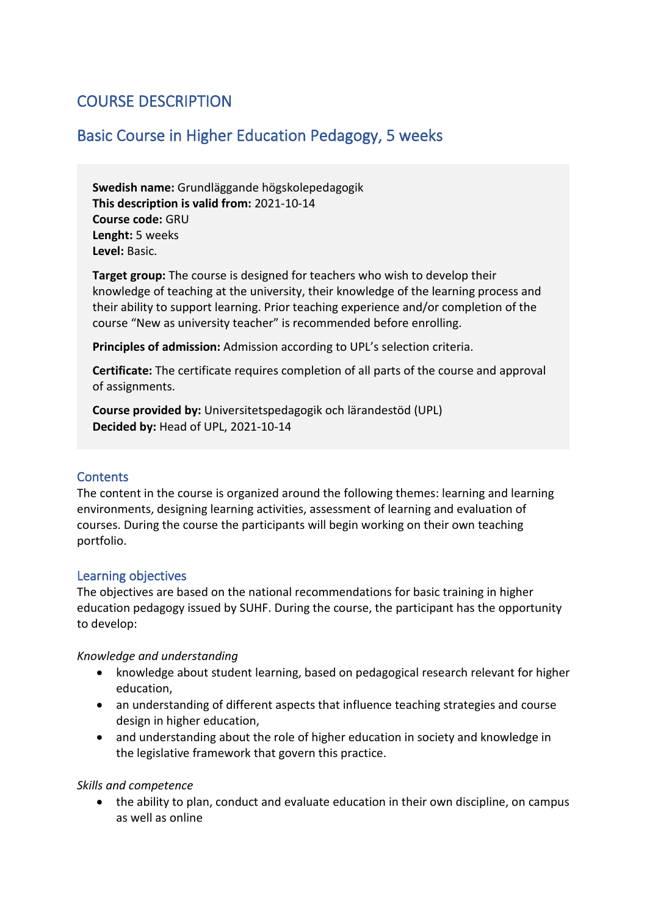# COURSE DESCRIPTION

# Basic Course in Higher Education Pedagogy, 5 weeks

**Swedish name:** Grundläggande högskolepedagogik **This description is valid from:** 2021-10-14 **Course code:** GRU **Lenght:** 5 weeks **Level:** Basic.

**Target group:** The course is designed for teachers who wish to develop their knowledge of teaching at the university, their knowledge of the learning process and their ability to support learning. Prior teaching experience and/or completion of the course "New as university teacher" is recommended before enrolling.

**Principles of admission:** Admission according to UPL's selection criteria.

**Certificate:** The certificate requires completion of all parts of the course and approval of assignments.

**Course provided by:** Universitetspedagogik och lärandestöd (UPL) **Decided by:** Head of UPL, 2021-10-14

#### **Contents**

The content in the course is organized around the following themes: learning and learning environments, designing learning activities, assessment of learning and evaluation of courses. During the course the participants will begin working on their own teaching portfolio.

#### Learning objectives

The objectives are based on the national recommendations for basic training in higher education pedagogy issued by SUHF. During the course, the participant has the opportunity to develop:

#### *Knowledge and understanding*

- knowledge about student learning, based on pedagogical research relevant for higher education,
- an understanding of different aspects that influence teaching strategies and course design in higher education,
- and understanding about the role of higher education in society and knowledge in the legislative framework that govern this practice.

#### *Skills and competence*

• the ability to plan, conduct and evaluate education in their own discipline, on campus as well as online